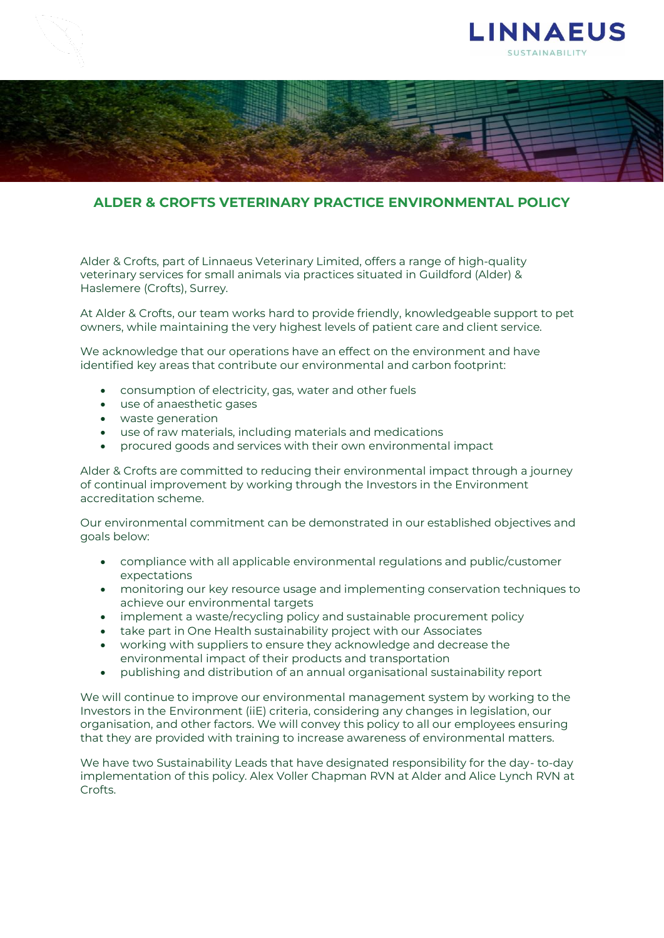



## **ALDER & CROFTS VETERINARY PRACTICE ENVIRONMENTAL POLICY**

Alder & Crofts, part of Linnaeus Veterinary Limited, offers a range of high-quality veterinary services for small animals via practices situated in Guildford (Alder) & Haslemere (Crofts), Surrey.

At Alder & Crofts, our team works hard to provide friendly, knowledgeable support to pet owners, while maintaining the very highest levels of patient care and client service.

We acknowledge that our operations have an effect on the environment and have identified key areas that contribute our environmental and carbon footprint:

- consumption of electricity, gas, water and other fuels
- use of anaesthetic gases
- waste generation
- use of raw materials, including materials and medications
- procured goods and services with their own environmental impact

Alder & Crofts are committed to reducing their environmental impact through a journey of continual improvement by working through the Investors in the Environment accreditation scheme.

Our environmental commitment can be demonstrated in our established objectives and goals below:

- compliance with all applicable environmental regulations and public/customer expectations
- monitoring our key resource usage and implementing conservation techniques to achieve our environmental targets
- implement a waste/recycling policy and sustainable procurement policy
- take part in One Health sustainability project with our Associates
- working with suppliers to ensure they acknowledge and decrease the environmental impact of their products and transportation
- publishing and distribution of an annual organisational sustainability report

We will continue to improve our environmental management system by working to the Investors in the Environment (iiE) criteria, considering any changes in legislation, our organisation, and other factors. We will convey this policy to all our employees ensuring that they are provided with training to increase awareness of environmental matters.

We have two Sustainability Leads that have designated responsibility for the day- to-day implementation of this policy. Alex Voller Chapman RVN at Alder and Alice Lynch RVN at Crofts.